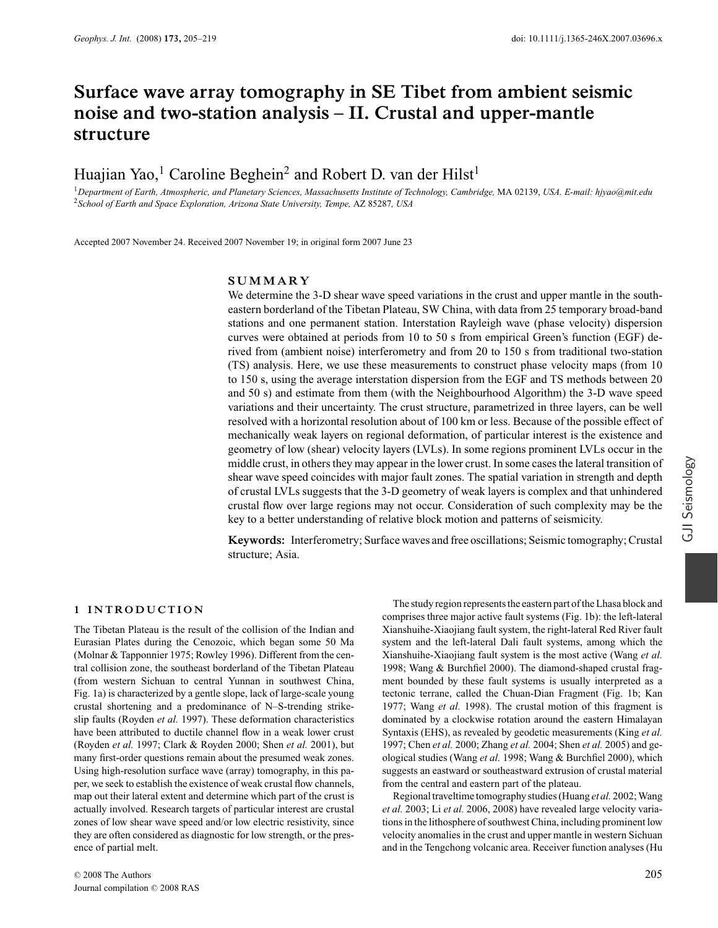# **Surface wave array tomography in SE Tibet from ambient seismic noise and two-station analysis – II. Crustal and upper-mantle structure**

## Huajian Yao,<sup>1</sup> Caroline Beghein<sup>2</sup> and Robert D. van der Hilst<sup>1</sup>

<sup>1</sup>*Department of Earth, Atmospheric, and Planetary Sciences, Massachusetts Institute of Technology, Cambridge,* MA 02139, *USA. E-mail: hjyao@mit.edu* <sup>2</sup>*School of Earth and Space Exploration, Arizona State University, Tempe,* AZ 85287*, USA*

Accepted 2007 November 24. Received 2007 November 19; in original form 2007 June 23

## **SUMMARY**

We determine the 3-D shear wave speed variations in the crust and upper mantle in the southeastern borderland of the Tibetan Plateau, SW China, with data from 25 temporary broad-band stations and one permanent station. Interstation Rayleigh wave (phase velocity) dispersion curves were obtained at periods from 10 to 50 s from empirical Green's function (EGF) derived from (ambient noise) interferometry and from 20 to 150 s from traditional two-station (TS) analysis. Here, we use these measurements to construct phase velocity maps (from 10 to 150 s, using the average interstation dispersion from the EGF and TS methods between 20 and 50 s) and estimate from them (with the Neighbourhood Algorithm) the 3-D wave speed variations and their uncertainty. The crust structure, parametrized in three layers, can be well resolved with a horizontal resolution about of 100 km or less. Because of the possible effect of mechanically weak layers on regional deformation, of particular interest is the existence and geometry of low (shear) velocity layers (LVLs). In some regions prominent LVLs occur in the middle crust, in others they may appear in the lower crust. In some cases the lateral transition of shear wave speed coincides with major fault zones. The spatial variation in strength and depth of crustal LVLs suggests that the 3-D geometry of weak layers is complex and that unhindered crustal flow over large regions may not occur. Consideration of such complexity may be the key to a better understanding of relative block motion and patterns of seismicity.

**Keywords:** Interferometry; Surface waves and free oscillations; Seismic tomography; Crustal structure; Asia.

## **1 INTRODUCTION**

The Tibetan Plateau is the result of the collision of the Indian and Eurasian Plates during the Cenozoic, which began some 50 Ma (Molnar & Tapponnier 1975; Rowley 1996). Different from the central collision zone, the southeast borderland of the Tibetan Plateau (from western Sichuan to central Yunnan in southwest China, Fig. 1a) is characterized by a gentle slope, lack of large-scale young crustal shortening and a predominance of N–S-trending strikeslip faults (Royden *et al.* 1997). These deformation characteristics have been attributed to ductile channel flow in a weak lower crust (Royden *et al.* 1997; Clark & Royden 2000; Shen *et al.* 2001), but many first-order questions remain about the presumed weak zones. Using high-resolution surface wave (array) tomography, in this paper, we seek to establish the existence of weak crustal flow channels, map out their lateral extent and determine which part of the crust is actually involved. Research targets of particular interest are crustal zones of low shear wave speed and/or low electric resistivity, since they are often considered as diagnostic for low strength, or the presence of partial melt.

The study region represents the eastern part of the Lhasa block and comprises three major active fault systems (Fig. 1b): the left-lateral Xianshuihe-Xiaojiang fault system, the right-lateral Red River fault system and the left-lateral Dali fault systems, among which the Xianshuihe-Xiaojiang fault system is the most active (Wang *et al.* 1998; Wang & Burchfiel 2000). The diamond-shaped crustal fragment bounded by these fault systems is usually interpreted as a tectonic terrane, called the Chuan-Dian Fragment (Fig. 1b; Kan 1977; Wang *et al.* 1998). The crustal motion of this fragment is dominated by a clockwise rotation around the eastern Himalayan Syntaxis (EHS), as revealed by geodetic measurements (King *et al.* 1997; Chen *et al.* 2000; Zhang *et al.* 2004; Shen *et al.* 2005) and geological studies (Wang *et al.* 1998; Wang & Burchfiel 2000), which suggests an eastward or southeastward extrusion of crustal material from the central and eastern part of the plateau.

Regional traveltime tomography studies (Huang *et al.* 2002; Wang *et al.* 2003; Li *et al.* 2006, 2008) have revealed large velocity variations in the lithosphere of southwest China, including prominent low velocity anomalies in the crust and upper mantle in western Sichuan and in the Tengchong volcanic area. Receiver function analyses (Hu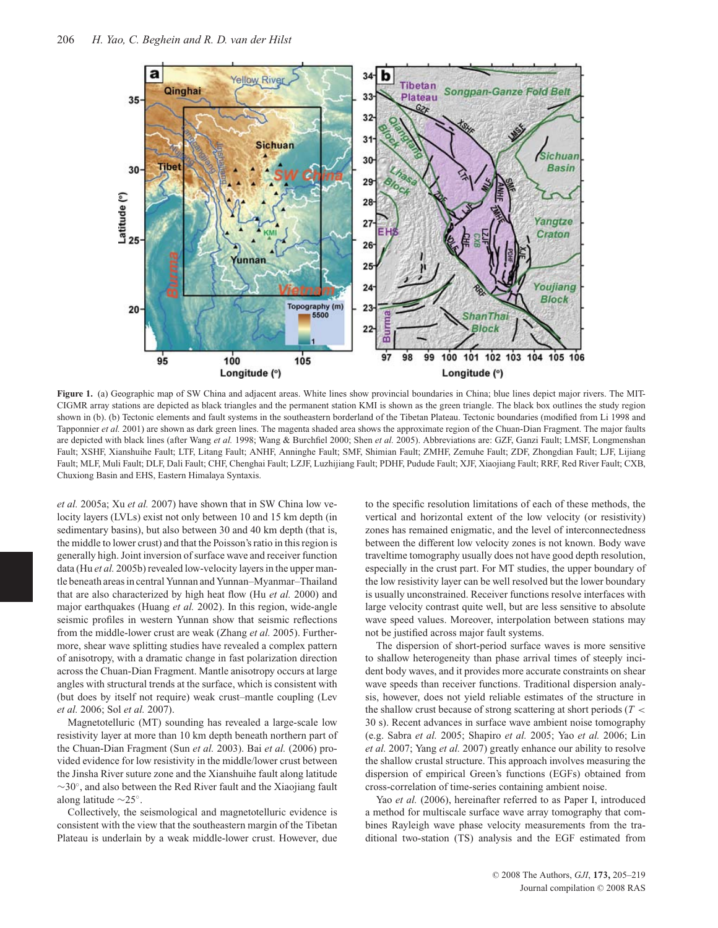

**Figure 1.** (a) Geographic map of SW China and adjacent areas. White lines show provincial boundaries in China; blue lines depict major rivers. The MIT-CIGMR array stations are depicted as black triangles and the permanent station KMI is shown as the green triangle. The black box outlines the study region shown in (b). (b) Tectonic elements and fault systems in the southeastern borderland of the Tibetan Plateau. Tectonic boundaries (modified from Li 1998 and Tapponnier *et al.* 2001) are shown as dark green lines. The magenta shaded area shows the approximate region of the Chuan-Dian Fragment. The major faults are depicted with black lines (after Wang *et al.* 1998; Wang & Burchfiel 2000; Shen *et al.* 2005). Abbreviations are: GZF, Ganzi Fault; LMSF, Longmenshan Fault; XSHF, Xianshuihe Fault; LTF, Litang Fault; ANHF, Anninghe Fault; SMF, Shimian Fault; ZMHF, Zemuhe Fault; ZDF, Zhongdian Fault; LJF, Lijiang Fault; MLF, Muli Fault; DLF, Dali Fault; CHF, Chenghai Fault; LZJF, Luzhijiang Fault; PDHF, Pudude Fault; XJF, Xiaojiang Fault; RRF, Red River Fault; CXB, Chuxiong Basin and EHS, Eastern Himalaya Syntaxis.

*et al.* 2005a; Xu *et al.* 2007) have shown that in SW China low velocity layers (LVLs) exist not only between 10 and 15 km depth (in sedimentary basins), but also between 30 and 40 km depth (that is, the middle to lower crust) and that the Poisson's ratio in this region is generally high. Joint inversion of surface wave and receiver function data (Hu *et al.* 2005b) revealed low-velocity layers in the upper mantle beneath areas in central Yunnan and Yunnan–Myanmar–Thailand that are also characterized by high heat flow (Hu *et al.* 2000) and major earthquakes (Huang *et al.* 2002). In this region, wide-angle seismic profiles in western Yunnan show that seismic reflections from the middle-lower crust are weak (Zhang *et al.* 2005). Furthermore, shear wave splitting studies have revealed a complex pattern of anisotropy, with a dramatic change in fast polarization direction across the Chuan-Dian Fragment. Mantle anisotropy occurs at large angles with structural trends at the surface, which is consistent with (but does by itself not require) weak crust–mantle coupling (Lev *et al.* 2006; Sol *et al.* 2007).

Magnetotelluric (MT) sounding has revealed a large-scale low resistivity layer at more than 10 km depth beneath northern part of the Chuan-Dian Fragment (Sun *et al.* 2003). Bai *et al.* (2006) provided evidence for low resistivity in the middle/lower crust between the Jinsha River suture zone and the Xianshuihe fault along latitude ∼30◦, and also between the Red River fault and the Xiaojiang fault along latitude ∼25◦.

Collectively, the seismological and magnetotelluric evidence is consistent with the view that the southeastern margin of the Tibetan Plateau is underlain by a weak middle-lower crust. However, due to the specific resolution limitations of each of these methods, the vertical and horizontal extent of the low velocity (or resistivity) zones has remained enigmatic, and the level of interconnectedness between the different low velocity zones is not known. Body wave traveltime tomography usually does not have good depth resolution, especially in the crust part. For MT studies, the upper boundary of the low resistivity layer can be well resolved but the lower boundary is usually unconstrained. Receiver functions resolve interfaces with large velocity contrast quite well, but are less sensitive to absolute wave speed values. Moreover, interpolation between stations may not be justified across major fault systems.

The dispersion of short-period surface waves is more sensitive to shallow heterogeneity than phase arrival times of steeply incident body waves, and it provides more accurate constraints on shear wave speeds than receiver functions. Traditional dispersion analysis, however, does not yield reliable estimates of the structure in the shallow crust because of strong scattering at short periods (*T* < 30 s). Recent advances in surface wave ambient noise tomography (e.g. Sabra *et al.* 2005; Shapiro *et al.* 2005; Yao *et al.* 2006; Lin *et al.* 2007; Yang *et al.* 2007) greatly enhance our ability to resolve the shallow crustal structure. This approach involves measuring the dispersion of empirical Green's functions (EGFs) obtained from cross-correlation of time-series containing ambient noise.

Yao et al. (2006), hereinafter referred to as Paper I, introduced a method for multiscale surface wave array tomography that combines Rayleigh wave phase velocity measurements from the traditional two-station (TS) analysis and the EGF estimated from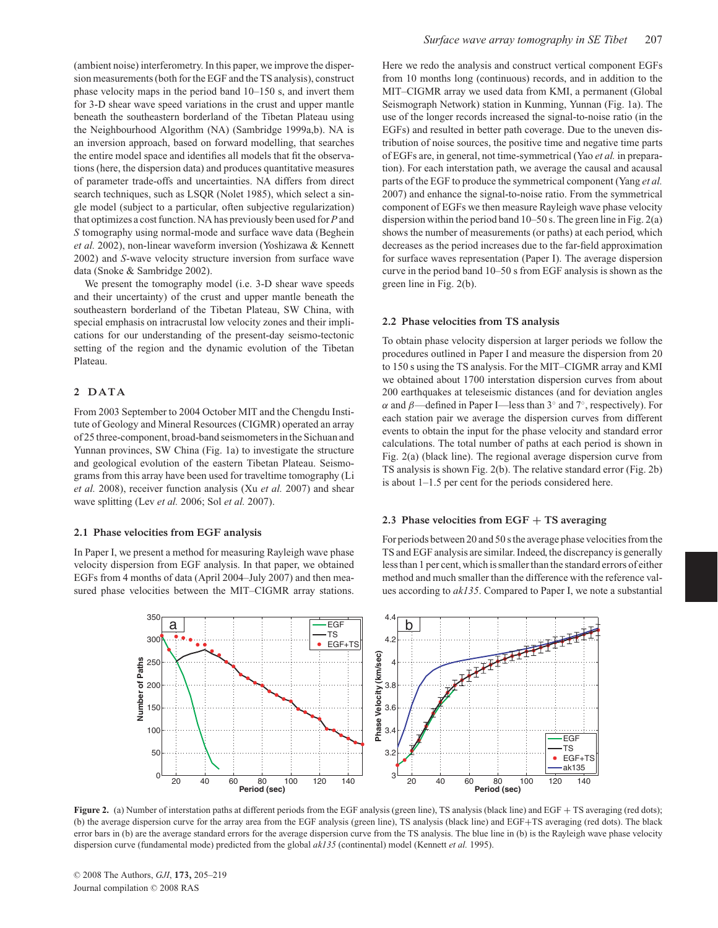(ambient noise) interferometry. In this paper, we improve the dispersion measurements (both for the EGF and the TS analysis), construct phase velocity maps in the period band 10–150 s, and invert them for 3-D shear wave speed variations in the crust and upper mantle beneath the southeastern borderland of the Tibetan Plateau using the Neighbourhood Algorithm (NA) (Sambridge 1999a,b). NA is an inversion approach, based on forward modelling, that searches the entire model space and identifies all models that fit the observations (here, the dispersion data) and produces quantitative measures of parameter trade-offs and uncertainties. NA differs from direct search techniques, such as LSQR (Nolet 1985), which select a single model (subject to a particular, often subjective regularization) that optimizes a cost function. NA has previously been used for*P* and *S* tomography using normal-mode and surface wave data (Beghein *et al.* 2002), non-linear waveform inversion (Yoshizawa & Kennett 2002) and *S*-wave velocity structure inversion from surface wave data (Snoke & Sambridge 2002).

We present the tomography model (i.e. 3-D shear wave speeds and their uncertainty) of the crust and upper mantle beneath the southeastern borderland of the Tibetan Plateau, SW China, with special emphasis on intracrustal low velocity zones and their implications for our understanding of the present-day seismo-tectonic setting of the region and the dynamic evolution of the Tibetan Plateau.

## **2 DATA**

From 2003 September to 2004 October MIT and the Chengdu Institute of Geology and Mineral Resources (CIGMR) operated an array of 25 three-component, broad-band seismometers in the Sichuan and Yunnan provinces, SW China (Fig. 1a) to investigate the structure and geological evolution of the eastern Tibetan Plateau. Seismograms from this array have been used for traveltime tomography (Li *et al.* 2008), receiver function analysis (Xu *et al.* 2007) and shear wave splitting (Lev *et al.* 2006; Sol *et al.* 2007).

## **2.1 Phase velocities from EGF analysis**

In Paper I, we present a method for measuring Rayleigh wave phase velocity dispersion from EGF analysis. In that paper, we obtained EGFs from 4 months of data (April 2004–July 2007) and then measured phase velocities between the MIT–CIGMR array stations. Here we redo the analysis and construct vertical component EGFs from 10 months long (continuous) records, and in addition to the MIT–CIGMR array we used data from KMI, a permanent (Global Seismograph Network) station in Kunming, Yunnan (Fig. 1a). The use of the longer records increased the signal-to-noise ratio (in the EGFs) and resulted in better path coverage. Due to the uneven distribution of noise sources, the positive time and negative time parts of EGFs are, in general, not time-symmetrical (Yao *et al.* in preparation). For each interstation path, we average the causal and acausal parts of the EGF to produce the symmetrical component (Yang *et al.* 2007) and enhance the signal-to-noise ratio. From the symmetrical component of EGFs we then measure Rayleigh wave phase velocity dispersion within the period band 10–50 s. The green line in Fig. 2(a) shows the number of measurements (or paths) at each period, which decreases as the period increases due to the far-field approximation for surface waves representation (Paper I). The average dispersion curve in the period band 10–50 s from EGF analysis is shown as the green line in Fig. 2(b).

#### **2.2 Phase velocities from TS analysis**

To obtain phase velocity dispersion at larger periods we follow the procedures outlined in Paper I and measure the dispersion from 20 to 150 s using the TS analysis. For the MIT–CIGMR array and KMI we obtained about 1700 interstation dispersion curves from about 200 earthquakes at teleseismic distances (and for deviation angles α and β—defined in Paper I—less than  $3°$  and  $7°$ , respectively). For each station pair we average the dispersion curves from different events to obtain the input for the phase velocity and standard error calculations. The total number of paths at each period is shown in Fig. 2(a) (black line). The regional average dispersion curve from TS analysis is shown Fig. 2(b). The relative standard error (Fig. 2b) is about 1–1.5 per cent for the periods considered here.

## **2.3 Phase velocities from EGF + TS averaging**

For periods between 20 and 50 s the average phase velocities from the TS and EGF analysis are similar. Indeed, the discrepancy is generally less than 1 per cent, which is smaller than the standard errors of either method and much smaller than the difference with the reference values according to *ak135*. Compared to Paper I, we note a substantial



**Figure 2.** (a) Number of interstation paths at different periods from the EGF analysis (green line), TS analysis (black line) and EGF + TS averaging (red dots); (b) the average dispersion curve for the array area from the EGF analysis (green line), TS analysis (black line) and EGF+TS averaging (red dots). The black error bars in (b) are the average standard errors for the average dispersion curve from the TS analysis. The blue line in (b) is the Rayleigh wave phase velocity dispersion curve (fundamental mode) predicted from the global *ak135* (continental) model (Kennett *et al.* 1995).

© 2008 The Authors, *GJI*, **173**, 205–219 Journal compilation © 2008 RAS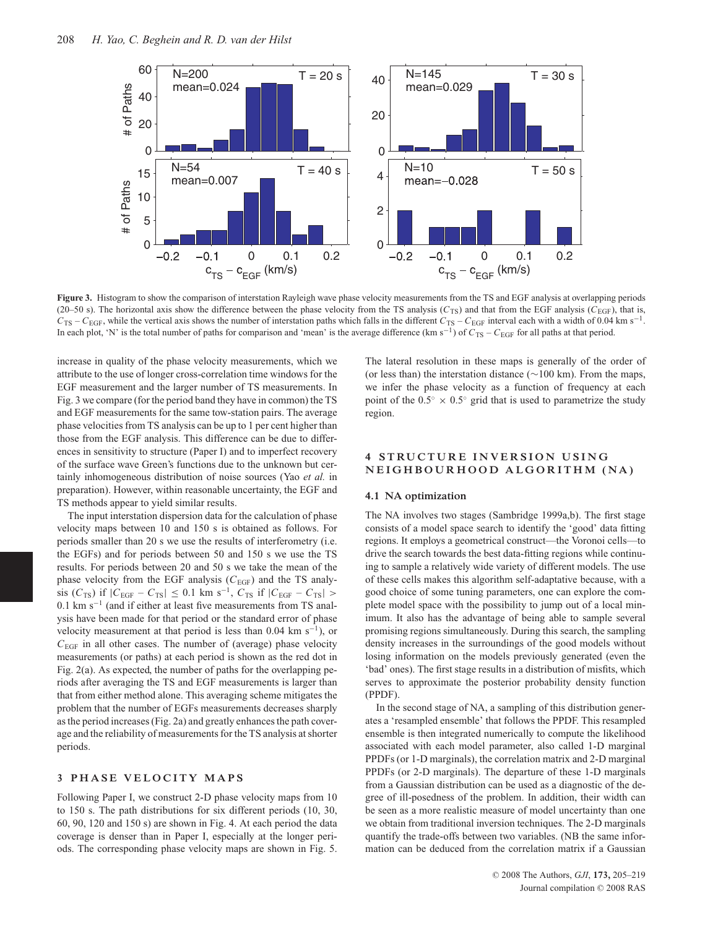

**Figure 3.** Histogram to show the comparison of interstation Rayleigh wave phase velocity measurements from the TS and EGF analysis at overlapping periods (20–50 s). The horizontal axis show the difference between the phase velocity from the TS analysis ( $C_{TS}$ ) and that from the EGF analysis ( $C_{EGF}$ ), that is,  $C_{\text{TS}}$  –  $C_{\text{EGF}}$ , while the vertical axis shows the number of interstation paths which falls in the different  $C_{\text{TS}}$  –  $C_{\text{EGF}}$  interval each with a width of 0.04 km s<sup>-1</sup>. In each plot, 'N' is the total number of paths for comparison and 'mean' is the average difference (km s<sup>−</sup>1) of *C*TS – *C*EGF for all paths at that period.

increase in quality of the phase velocity measurements, which we attribute to the use of longer cross-correlation time windows for the EGF measurement and the larger number of TS measurements. In Fig. 3 we compare (for the period band they have in common) the TS and EGF measurements for the same tow-station pairs. The average phase velocities from TS analysis can be up to 1 per cent higher than those from the EGF analysis. This difference can be due to differences in sensitivity to structure (Paper I) and to imperfect recovery of the surface wave Green's functions due to the unknown but certainly inhomogeneous distribution of noise sources (Yao *et al.* in preparation). However, within reasonable uncertainty, the EGF and TS methods appear to yield similar results.

The input interstation dispersion data for the calculation of phase velocity maps between 10 and 150 s is obtained as follows. For periods smaller than 20 s we use the results of interferometry (i.e. the EGFs) and for periods between 50 and 150 s we use the TS results. For periods between 20 and 50 s we take the mean of the phase velocity from the EGF analysis  $(C_{\text{EGF}})$  and the TS analy- $\sin (C_{TS})$  if  $|C_{EGF} - C_{TS}| \leq 0.1$  km s<sup>-1</sup>,  $C_{TS}$  if  $|C_{EGF} - C_{TS}| >$ 0.1 km s<sup>−</sup><sup>1</sup> (and if either at least five measurements from TS analysis have been made for that period or the standard error of phase velocity measurement at that period is less than  $0.04 \text{ km s}^{-1}$ ), or *C*EGF in all other cases. The number of (average) phase velocity measurements (or paths) at each period is shown as the red dot in Fig. 2(a). As expected, the number of paths for the overlapping periods after averaging the TS and EGF measurements is larger than that from either method alone. This averaging scheme mitigates the problem that the number of EGFs measurements decreases sharply as the period increases (Fig. 2a) and greatly enhances the path coverage and the reliability of measurements for the TS analysis at shorter periods.

## **3 PHASE VELOCITY MAPS**

Following Paper I, we construct 2-D phase velocity maps from 10 to 150 s. The path distributions for six different periods (10, 30, 60, 90, 120 and 150 s) are shown in Fig. 4. At each period the data coverage is denser than in Paper I, especially at the longer periods. The corresponding phase velocity maps are shown in Fig. 5. The lateral resolution in these maps is generally of the order of (or less than) the interstation distance (∼100 km). From the maps, we infer the phase velocity as a function of frequency at each point of the  $0.5° \times 0.5°$  grid that is used to parametrize the study region.

## **4 STRUCTURE INVERSION USING NEIGHBOURHOOD ALGORITHM (NA)**

#### **4.1 NA optimization**

The NA involves two stages (Sambridge 1999a,b). The first stage consists of a model space search to identify the 'good' data fitting regions. It employs a geometrical construct—the Voronoi cells—to drive the search towards the best data-fitting regions while continuing to sample a relatively wide variety of different models. The use of these cells makes this algorithm self-adaptative because, with a good choice of some tuning parameters, one can explore the complete model space with the possibility to jump out of a local minimum. It also has the advantage of being able to sample several promising regions simultaneously. During this search, the sampling density increases in the surroundings of the good models without losing information on the models previously generated (even the 'bad' ones). The first stage results in a distribution of misfits, which serves to approximate the posterior probability density function (PPDF).

In the second stage of NA, a sampling of this distribution generates a 'resampled ensemble' that follows the PPDF. This resampled ensemble is then integrated numerically to compute the likelihood associated with each model parameter, also called 1-D marginal PPDFs (or 1-D marginals), the correlation matrix and 2-D marginal PPDFs (or 2-D marginals). The departure of these 1-D marginals from a Gaussian distribution can be used as a diagnostic of the degree of ill-posedness of the problem. In addition, their width can be seen as a more realistic measure of model uncertainty than one we obtain from traditional inversion techniques. The 2-D marginals quantify the trade-offs between two variables. (NB the same information can be deduced from the correlation matrix if a Gaussian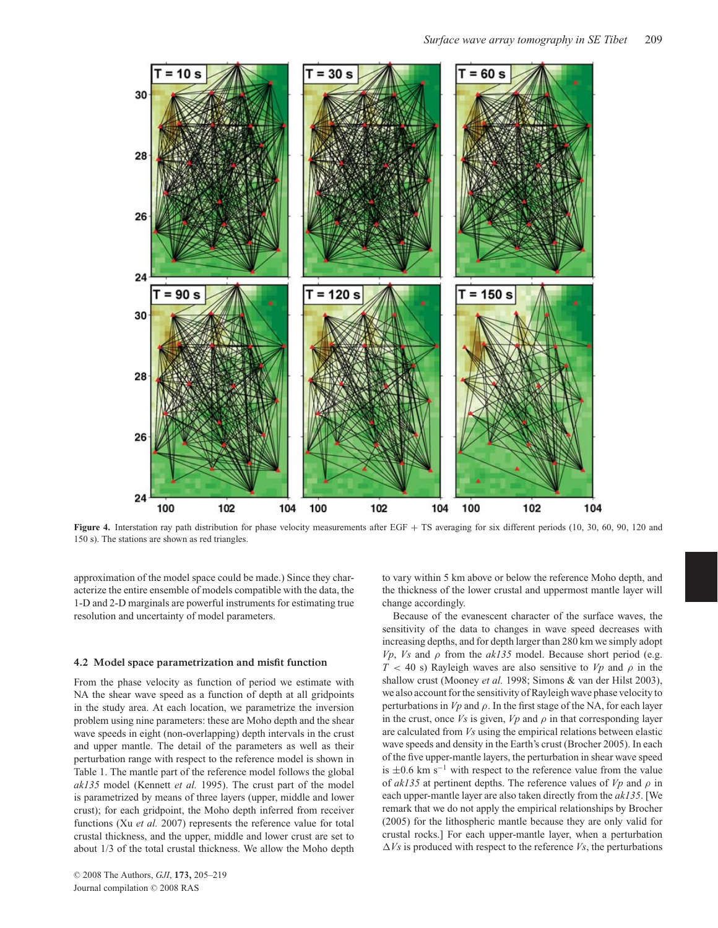

**Figure 4.** Interstation ray path distribution for phase velocity measurements after EGF + TS averaging for six different periods (10, 30, 60, 90, 120 and 150 s). The stations are shown as red triangles.

approximation of the model space could be made.) Since they characterize the entire ensemble of models compatible with the data, the 1-D and 2-D marginals are powerful instruments for estimating true resolution and uncertainty of model parameters.

#### **4.2 Model space parametrization and misfit function**

From the phase velocity as function of period we estimate with NA the shear wave speed as a function of depth at all gridpoints in the study area. At each location, we parametrize the inversion problem using nine parameters: these are Moho depth and the shear wave speeds in eight (non-overlapping) depth intervals in the crust and upper mantle. The detail of the parameters as well as their perturbation range with respect to the reference model is shown in Table 1. The mantle part of the reference model follows the global *ak135* model (Kennett *et al.* 1995). The crust part of the model is parametrized by means of three layers (upper, middle and lower crust); for each gridpoint, the Moho depth inferred from receiver functions (Xu *et al.* 2007) represents the reference value for total crustal thickness, and the upper, middle and lower crust are set to about 1/3 of the total crustal thickness. We allow the Moho depth

to vary within 5 km above or below the reference Moho depth, and the thickness of the lower crustal and uppermost mantle layer will change accordingly.

Because of the evanescent character of the surface waves, the sensitivity of the data to changes in wave speed decreases with increasing depths, and for depth larger than 280 km we simply adopt *Vp*, *Vs* and ρ from the *ak135* model. Because short period (e.g.  $T$  < 40 s) Rayleigh waves are also sensitive to  $V_p$  and  $\rho$  in the shallow crust (Mooney *et al.* 1998; Simons & van der Hilst 2003), we also account for the sensitivity of Rayleigh wave phase velocity to perturbations in  $Vp$  and  $\rho$ . In the first stage of the NA, for each layer in the crust, once *Vs* is given, *Vp* and  $\rho$  in that corresponding layer are calculated from *Vs* using the empirical relations between elastic wave speeds and density in the Earth's crust (Brocher 2005). In each of the five upper-mantle layers, the perturbation in shear wave speed is  $±0.6$  km s<sup>−1</sup> with respect to the reference value from the value of  $ak135$  at pertinent depths. The reference values of  $Vp$  and  $\rho$  in each upper-mantle layer are also taken directly from the *ak135*. [We remark that we do not apply the empirical relationships by Brocher (2005) for the lithospheric mantle because they are only valid for crustal rocks.] For each upper-mantle layer, when a perturbation  $\Delta Vs$  is produced with respect to the reference *Vs*, the perturbations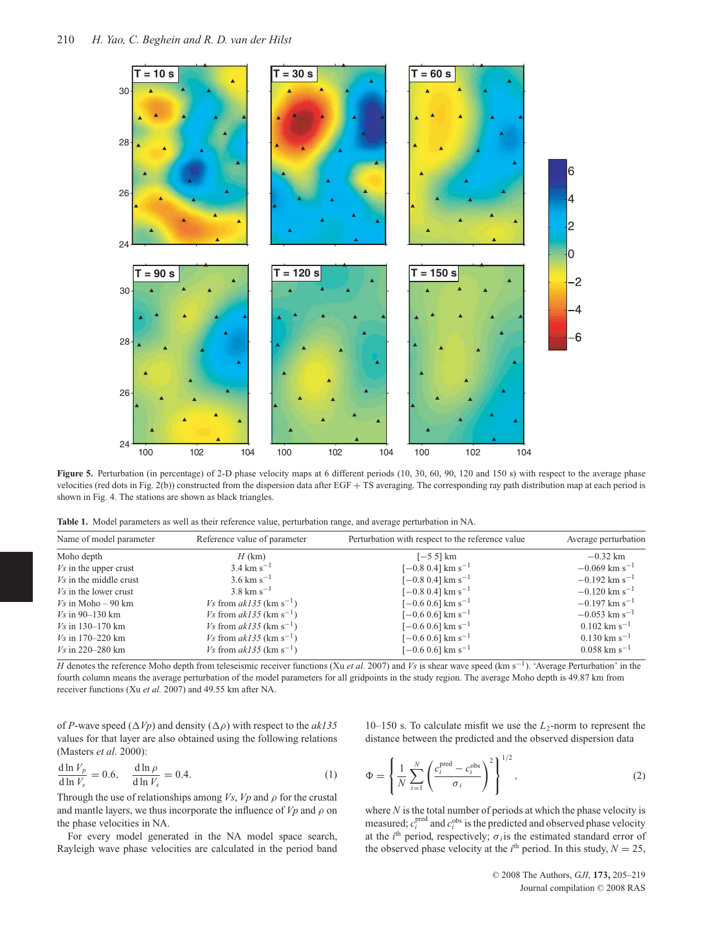

**Figure 5.** Perturbation (in percentage) of 2-D phase velocity maps at 6 different periods (10, 30, 60, 90, 120 and 150 s) with respect to the average phase velocities (red dots in Fig. 2(b)) constructed from the dispersion data after EGF  $+$  TS averaging. The corresponding ray path distribution map at each period is shown in Fig. 4. The stations are shown as black triangles.

**Table 1.** Model parameters as well as their reference value, perturbation range, and average perturbation in NA.

| Name of model parameter  | Reference value of parameter                 | Perturbation with respect to the reference value | Average perturbation        |
|--------------------------|----------------------------------------------|--------------------------------------------------|-----------------------------|
| Moho depth               | $H$ (km)                                     | $[-55]$ km                                       | $-0.32$ km                  |
| $Vs$ in the upper crust  | $3.4 \text{ km s}^{-1}$                      | $[-0.8 \, 0.4]$ km s <sup>-1</sup>               | $-0.069$ km s <sup>-1</sup> |
| $Vs$ in the middle crust | $3.6 \text{ km s}^{-1}$                      | $[-0.8 \, 0.4]$ km s <sup>-1</sup>               | $-0.192$ km s <sup>-1</sup> |
| $Vs$ in the lower crust  | $3.8 \text{ km s}^{-1}$                      | $[-0.8 \, 0.4]$ km s <sup>-1</sup>               | $-0.120$ km s <sup>-1</sup> |
| $Vs$ in Moho $-90$ km    | <i>Vs</i> from $ak135$ (km s <sup>-1</sup> ) | $[-0.6 0.6]$ km s <sup>-1</sup>                  | $-0.197$ km s <sup>-1</sup> |
| $Vs$ in 90–130 km        | Vs from $ak135$ (km s <sup>-1</sup> )        | $[-0.6 0.6]$ km s <sup>-1</sup>                  | $-0.053$ km s <sup>-1</sup> |
| $Vs$ in 130–170 km       | <i>Vs</i> from $ak135$ (km s <sup>-1</sup> ) | $[-0.6 0.6]$ km s <sup>-1</sup>                  | $0.102$ km s <sup>-1</sup>  |
| $Vs$ in 170–220 km       | Vs from $ak135$ (km s <sup>-1</sup> )        | $[-0.6 0.6]$ km s <sup>-1</sup>                  | $0.130$ km s <sup>-1</sup>  |
| $Vs$ in 220–280 km       | Vs from $ak135$ (km s <sup>-1</sup> )        | $[-0.6 0.6]$ km s <sup>-1</sup>                  | $0.058$ km s <sup>-1</sup>  |

*H* denotes the reference Moho depth from teleseismic receiver functions (Xu *et al.* 2007) and *Vs* is shear wave speed (km s<sup>−1</sup>). 'Average Perturbation' in the fourth column means the average perturbation of the model parameters for all gridpoints in the study region. The average Moho depth is 49.87 km from receiver functions (Xu *et al.* 2007) and 49.55 km after NA.

of *P*-wave speed ( $\Delta Vp$ ) and density ( $\Delta \rho$ ) with respect to the *ak135* values for that layer are also obtained using the following relations (Masters *et al.* 2000):

$$
\frac{\mathrm{d}\ln V_p}{\mathrm{d}\ln V_s} = 0.6, \quad \frac{\mathrm{d}\ln \rho}{\mathrm{d}\ln V_s} = 0.4. \tag{1}
$$

Through the use of relationships among  $Vs$ ,  $Vp$  and  $\rho$  for the crustal and mantle layers, we thus incorporate the influence of  $V_p$  and  $\rho$  on the phase velocities in NA.

For every model generated in the NA model space search, Rayleigh wave phase velocities are calculated in the period band 10–150 s. To calculate misfit we use the *L*2-norm to represent the distance between the predicted and the observed dispersion data

$$
\Phi = \left\{ \frac{1}{N} \sum_{i=1}^{N} \left( \frac{c_i^{\text{pred}} - c_i^{\text{obs}}}{\sigma_i} \right)^2 \right\}^{1/2},\tag{2}
$$

where  $N$  is the total number of periods at which the phase velocity is measured;  $c_i^{\text{pred}}$  and  $c_i^{\text{obs}}$  is the predicted and observed phase velocity at the  $i^{\text{th}}$  period, respectively;  $\sigma_i$  is the estimated standard error of the observed phase velocity at the  $i<sup>th</sup>$  period. In this study,  $N = 25$ ,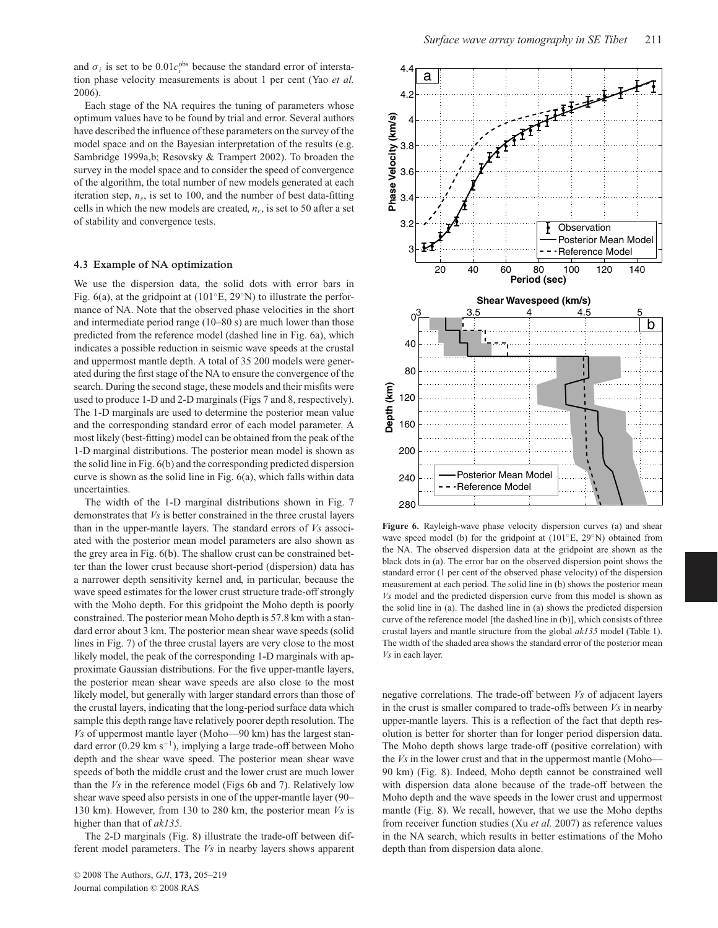and  $\sigma_i$  is set to be  $0.01c_i^{obs}$  because the standard error of interstation phase velocity measurements is about 1 per cent (Yao *et al.* 2006).

Each stage of the NA requires the tuning of parameters whose optimum values have to be found by trial and error. Several authors have described the influence of these parameters on the survey of the model space and on the Bayesian interpretation of the results (e.g. Sambridge 1999a,b; Resovsky & Trampert 2002). To broaden the survey in the model space and to consider the speed of convergence of the algorithm, the total number of new models generated at each iteration step,  $n<sub>s</sub>$ , is set to 100, and the number of best data-fitting cells in which the new models are created,  $n_r$ , is set to 50 after a set of stability and convergence tests.

#### **4.3 Example of NA optimization**

We use the dispersion data, the solid dots with error bars in Fig. 6(a), at the gridpoint at  $(101°E, 29°N)$  to illustrate the performance of NA. Note that the observed phase velocities in the short and intermediate period range (10–80 s) are much lower than those predicted from the reference model (dashed line in Fig. 6a), which indicates a possible reduction in seismic wave speeds at the crustal and uppermost mantle depth. A total of 35 200 models were generated during the first stage of the NA to ensure the convergence of the search. During the second stage, these models and their misfits were used to produce 1-D and 2-D marginals (Figs 7 and 8, respectively). The 1-D marginals are used to determine the posterior mean value and the corresponding standard error of each model parameter. A most likely (best-fitting) model can be obtained from the peak of the 1-D marginal distributions. The posterior mean model is shown as the solid line in Fig. 6(b) and the corresponding predicted dispersion curve is shown as the solid line in Fig. 6(a), which falls within data uncertainties.

The width of the 1-D marginal distributions shown in Fig. 7 demonstrates that *Vs* is better constrained in the three crustal layers than in the upper-mantle layers. The standard errors of *Vs* associated with the posterior mean model parameters are also shown as the grey area in Fig. 6(b). The shallow crust can be constrained better than the lower crust because short-period (dispersion) data has a narrower depth sensitivity kernel and, in particular, because the wave speed estimates for the lower crust structure trade-off strongly with the Moho depth. For this gridpoint the Moho depth is poorly constrained. The posterior mean Moho depth is 57.8 km with a standard error about 3 km. The posterior mean shear wave speeds (solid lines in Fig. 7) of the three crustal layers are very close to the most likely model, the peak of the corresponding 1-D marginals with approximate Gaussian distributions. For the five upper-mantle layers, the posterior mean shear wave speeds are also close to the most likely model, but generally with larger standard errors than those of the crustal layers, indicating that the long-period surface data which sample this depth range have relatively poorer depth resolution. The *Vs* of uppermost mantle layer (Moho—90 km) has the largest standard error (0.29 km s<sup>−</sup>1), implying a large trade-off between Moho depth and the shear wave speed. The posterior mean shear wave speeds of both the middle crust and the lower crust are much lower than the *Vs* in the reference model (Figs 6b and 7). Relatively low shear wave speed also persists in one of the upper-mantle layer (90– 130 km). However, from 130 to 280 km, the posterior mean *Vs* is higher than that of *ak135*.

The 2-D marginals (Fig. 8) illustrate the trade-off between different model parameters. The *Vs* in nearby layers shows apparent



**Figure 6.** Rayleigh-wave phase velocity dispersion curves (a) and shear wave speed model (b) for the gridpoint at (101◦E, 29◦N) obtained from the NA. The observed dispersion data at the gridpoint are shown as the black dots in (a). The error bar on the observed dispersion point shows the standard error (1 per cent of the observed phase velocity) of the dispersion measurement at each period. The solid line in (b) shows the posterior mean *Vs* model and the predicted dispersion curve from this model is shown as the solid line in (a). The dashed line in (a) shows the predicted dispersion curve of the reference model [the dashed line in (b)], which consists of three crustal layers and mantle structure from the global *ak135* model (Table 1). The width of the shaded area shows the standard error of the posterior mean *Vs* in each layer.

negative correlations. The trade-off between *Vs* of adjacent layers in the crust is smaller compared to trade-offs between *Vs* in nearby upper-mantle layers. This is a reflection of the fact that depth resolution is better for shorter than for longer period dispersion data. The Moho depth shows large trade-off (positive correlation) with the *Vs* in the lower crust and that in the uppermost mantle (Moho— 90 km) (Fig. 8). Indeed, Moho depth cannot be constrained well with dispersion data alone because of the trade-off between the Moho depth and the wave speeds in the lower crust and uppermost mantle (Fig. 8). We recall, however, that we use the Moho depths from receiver function studies (Xu *et al.* 2007) as reference values in the NA search, which results in better estimations of the Moho depth than from dispersion data alone.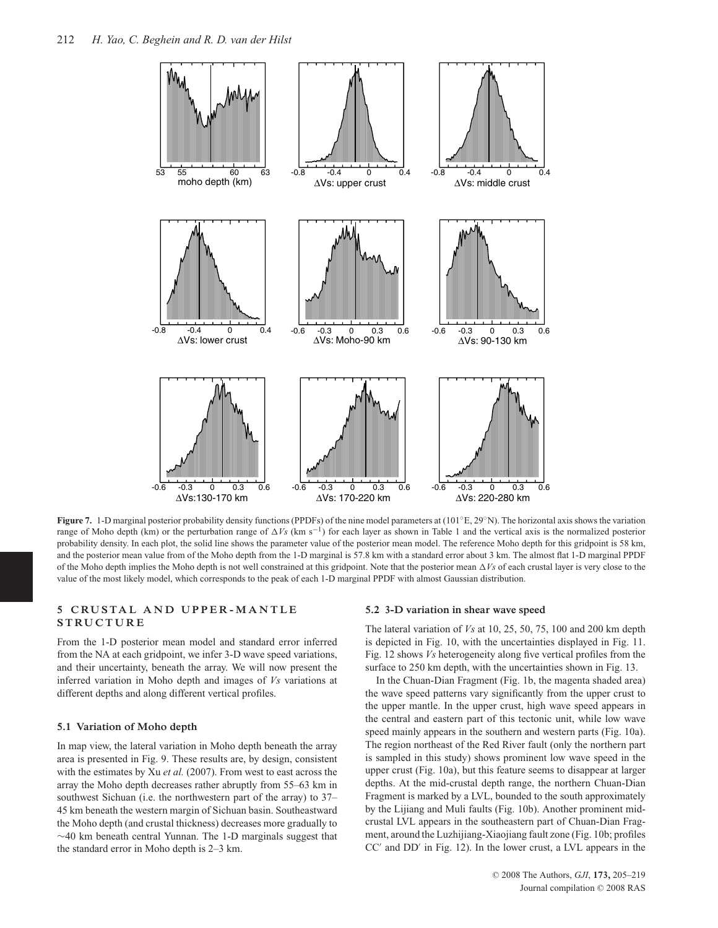

**Figure 7.** 1-D marginal posterior probability density functions (PPDFs) of the nine model parameters at (101◦E, 29◦N). The horizontal axis shows the variation range of Moho depth (km) or the perturbation range of *Vs* (km s<sup>−</sup>1) for each layer as shown in Table 1 and the vertical axis is the normalized posterior probability density. In each plot, the solid line shows the parameter value of the posterior mean model. The reference Moho depth for this gridpoint is 58 km, and the posterior mean value from of the Moho depth from the 1-D marginal is 57.8 km with a standard error about 3 km. The almost flat 1-D marginal PPDF of the Moho depth implies the Moho depth is not well constrained at this gridpoint. Note that the posterior mean *Vs* of each crustal layer is very close to the value of the most likely model, which corresponds to the peak of each 1-D marginal PPDF with almost Gaussian distribution.

## **5 CRUSTAL AND UPPER-MANTLE STRUCTURE**

From the 1-D posterior mean model and standard error inferred from the NA at each gridpoint, we infer 3-D wave speed variations, and their uncertainty, beneath the array. We will now present the inferred variation in Moho depth and images of *Vs* variations at different depths and along different vertical profiles.

## **5.1 Variation of Moho depth**

In map view, the lateral variation in Moho depth beneath the array area is presented in Fig. 9. These results are, by design, consistent with the estimates by Xu *et al.* (2007). From west to east across the array the Moho depth decreases rather abruptly from 55–63 km in southwest Sichuan (i.e. the northwestern part of the array) to 37– 45 km beneath the western margin of Sichuan basin. Southeastward the Moho depth (and crustal thickness) decreases more gradually to ∼40 km beneath central Yunnan. The 1-D marginals suggest that the standard error in Moho depth is 2–3 km.

#### **5.2 3-D variation in shear wave speed**

The lateral variation of *Vs* at 10, 25, 50, 75, 100 and 200 km depth is depicted in Fig. 10, with the uncertainties displayed in Fig. 11. Fig. 12 shows *Vs* heterogeneity along five vertical profiles from the surface to 250 km depth, with the uncertainties shown in Fig. 13.

In the Chuan-Dian Fragment (Fig. 1b, the magenta shaded area) the wave speed patterns vary significantly from the upper crust to the upper mantle. In the upper crust, high wave speed appears in the central and eastern part of this tectonic unit, while low wave speed mainly appears in the southern and western parts (Fig. 10a). The region northeast of the Red River fault (only the northern part is sampled in this study) shows prominent low wave speed in the upper crust (Fig. 10a), but this feature seems to disappear at larger depths. At the mid-crustal depth range, the northern Chuan-Dian Fragment is marked by a LVL, bounded to the south approximately by the Lijiang and Muli faults (Fig. 10b). Another prominent midcrustal LVL appears in the southeastern part of Chuan-Dian Fragment, around the Luzhijiang-Xiaojiang fault zone (Fig. 10b; profiles CC' and DD' in Fig. 12). In the lower crust, a LVL appears in the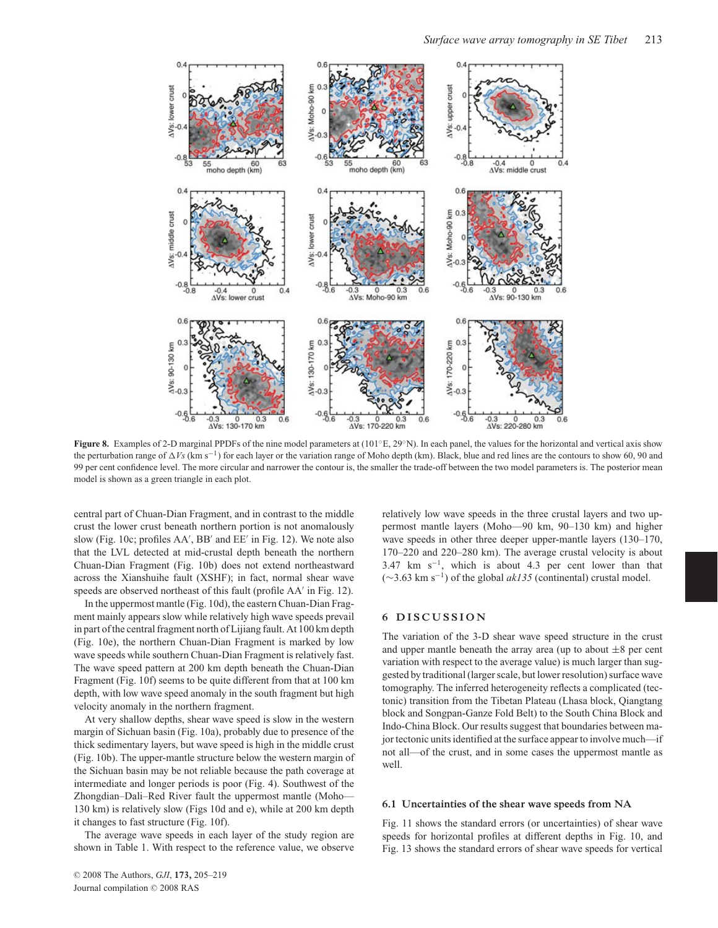

**Figure 8.** Examples of 2-D marginal PPDFs of the nine model parameters at (101◦E, 29◦N). In each panel, the values for the horizontal and vertical axis show the perturbation range of *Vs* (km s<sup>−</sup>1) for each layer or the variation range of Moho depth (km). Black, blue and red lines are the contours to show 60, 90 and 99 per cent confidence level. The more circular and narrower the contour is, the smaller the trade-off between the two model parameters is. The posterior mean model is shown as a green triangle in each plot.

central part of Chuan-Dian Fragment, and in contrast to the middle crust the lower crust beneath northern portion is not anomalously slow (Fig. 10c; profiles AA', BB' and EE' in Fig. 12). We note also that the LVL detected at mid-crustal depth beneath the northern Chuan-Dian Fragment (Fig. 10b) does not extend northeastward across the Xianshuihe fault (XSHF); in fact, normal shear wave speeds are observed northeast of this fault (profile AA' in Fig. 12).

In the uppermost mantle (Fig. 10d), the eastern Chuan-Dian Fragment mainly appears slow while relatively high wave speeds prevail in part of the central fragment north of Lijiang fault. At 100 km depth (Fig. 10e), the northern Chuan-Dian Fragment is marked by low wave speeds while southern Chuan-Dian Fragment is relatively fast. The wave speed pattern at 200 km depth beneath the Chuan-Dian Fragment (Fig. 10f) seems to be quite different from that at 100 km depth, with low wave speed anomaly in the south fragment but high velocity anomaly in the northern fragment.

At very shallow depths, shear wave speed is slow in the western margin of Sichuan basin (Fig. 10a), probably due to presence of the thick sedimentary layers, but wave speed is high in the middle crust (Fig. 10b). The upper-mantle structure below the western margin of the Sichuan basin may be not reliable because the path coverage at intermediate and longer periods is poor (Fig. 4). Southwest of the Zhongdian–Dali–Red River fault the uppermost mantle (Moho— 130 km) is relatively slow (Figs 10d and e), while at 200 km depth it changes to fast structure (Fig. 10f).

The average wave speeds in each layer of the study region are shown in Table 1. With respect to the reference value, we observe relatively low wave speeds in the three crustal layers and two uppermost mantle layers (Moho—90 km, 90–130 km) and higher wave speeds in other three deeper upper-mantle layers (130–170, 170–220 and 220–280 km). The average crustal velocity is about 3.47 km s<sup> $-1$ </sup>, which is about 4.3 per cent lower than that (∼3.63 km s<sup>−</sup>1) of the global *ak135* (continental) crustal model.

## **6 DISCUSSION**

The variation of the 3-D shear wave speed structure in the crust and upper mantle beneath the array area (up to about  $\pm 8$  per cent variation with respect to the average value) is much larger than suggested by traditional (larger scale, but lower resolution) surface wave tomography. The inferred heterogeneity reflects a complicated (tectonic) transition from the Tibetan Plateau (Lhasa block, Qiangtang block and Songpan-Ganze Fold Belt) to the South China Block and Indo-China Block. Our results suggest that boundaries between major tectonic units identified at the surface appear to involve much—if not all—of the crust, and in some cases the uppermost mantle as well.

## **6.1 Uncertainties of the shear wave speeds from NA**

Fig. 11 shows the standard errors (or uncertainties) of shear wave speeds for horizontal profiles at different depths in Fig. 10, and Fig. 13 shows the standard errors of shear wave speeds for vertical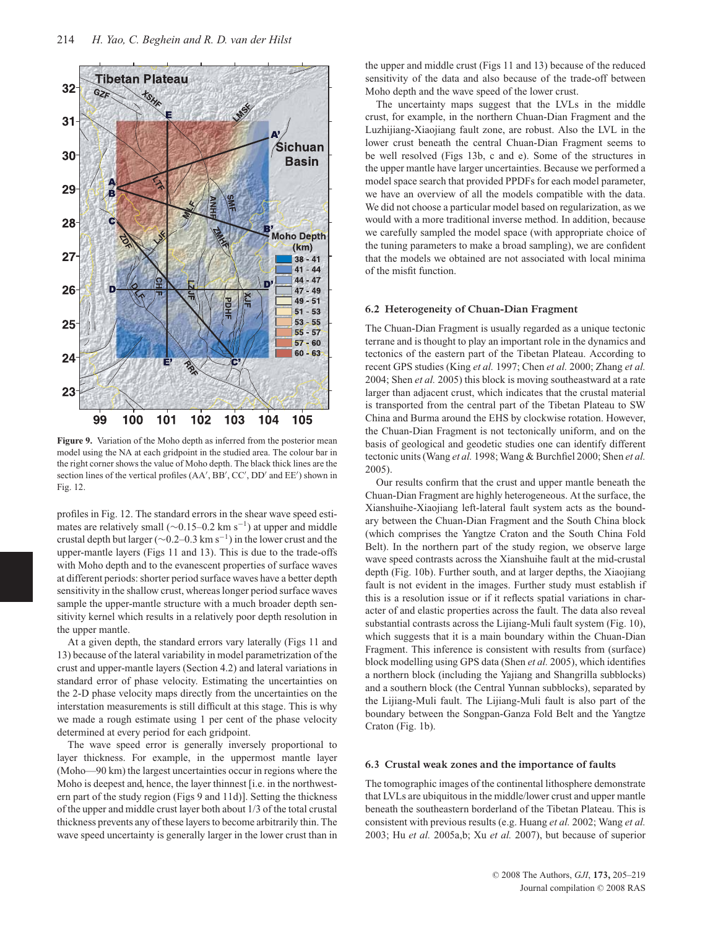

**Figure 9.** Variation of the Moho depth as inferred from the posterior mean model using the NA at each gridpoint in the studied area. The colour bar in the right corner shows the value of Moho depth. The black thick lines are the section lines of the vertical profiles (AA', BB', CC', DD' and EE') shown in Fig. 12.

profiles in Fig. 12. The standard errors in the shear wave speed estimates are relatively small ( $\sim$ 0.15–0.2 km s<sup>-1</sup>) at upper and middle crustal depth but larger ( $\sim$ 0.2–0.3 km s<sup>-1</sup>) in the lower crust and the upper-mantle layers (Figs 11 and 13). This is due to the trade-offs with Moho depth and to the evanescent properties of surface waves at different periods: shorter period surface waves have a better depth sensitivity in the shallow crust, whereas longer period surface waves sample the upper-mantle structure with a much broader depth sensitivity kernel which results in a relatively poor depth resolution in the upper mantle.

At a given depth, the standard errors vary laterally (Figs 11 and 13) because of the lateral variability in model parametrization of the crust and upper-mantle layers (Section 4.2) and lateral variations in standard error of phase velocity. Estimating the uncertainties on the 2-D phase velocity maps directly from the uncertainties on the interstation measurements is still difficult at this stage. This is why we made a rough estimate using 1 per cent of the phase velocity determined at every period for each gridpoint.

The wave speed error is generally inversely proportional to layer thickness. For example, in the uppermost mantle layer (Moho—90 km) the largest uncertainties occur in regions where the Moho is deepest and, hence, the layer thinnest [i.e. in the northwestern part of the study region (Figs 9 and 11d)]. Setting the thickness of the upper and middle crust layer both about 1/3 of the total crustal thickness prevents any of these layers to become arbitrarily thin. The wave speed uncertainty is generally larger in the lower crust than in the upper and middle crust (Figs 11 and 13) because of the reduced sensitivity of the data and also because of the trade-off between Moho depth and the wave speed of the lower crust.

The uncertainty maps suggest that the LVLs in the middle crust, for example, in the northern Chuan-Dian Fragment and the Luzhijiang-Xiaojiang fault zone, are robust. Also the LVL in the lower crust beneath the central Chuan-Dian Fragment seems to be well resolved (Figs 13b, c and e). Some of the structures in the upper mantle have larger uncertainties. Because we performed a model space search that provided PPDFs for each model parameter, we have an overview of all the models compatible with the data. We did not choose a particular model based on regularization, as we would with a more traditional inverse method. In addition, because we carefully sampled the model space (with appropriate choice of the tuning parameters to make a broad sampling), we are confident that the models we obtained are not associated with local minima of the misfit function.

## **6.2 Heterogeneity of Chuan-Dian Fragment**

The Chuan-Dian Fragment is usually regarded as a unique tectonic terrane and is thought to play an important role in the dynamics and tectonics of the eastern part of the Tibetan Plateau. According to recent GPS studies (King *et al.* 1997; Chen *et al.* 2000; Zhang *et al.* 2004; Shen *et al.* 2005) this block is moving southeastward at a rate larger than adjacent crust, which indicates that the crustal material is transported from the central part of the Tibetan Plateau to SW China and Burma around the EHS by clockwise rotation. However, the Chuan-Dian Fragment is not tectonically uniform, and on the basis of geological and geodetic studies one can identify different tectonic units (Wang *et al.* 1998; Wang & Burchfiel 2000; Shen *et al.* 2005).

Our results confirm that the crust and upper mantle beneath the Chuan-Dian Fragment are highly heterogeneous. At the surface, the Xianshuihe-Xiaojiang left-lateral fault system acts as the boundary between the Chuan-Dian Fragment and the South China block (which comprises the Yangtze Craton and the South China Fold Belt). In the northern part of the study region, we observe large wave speed contrasts across the Xianshuihe fault at the mid-crustal depth (Fig. 10b). Further south, and at larger depths, the Xiaojiang fault is not evident in the images. Further study must establish if this is a resolution issue or if it reflects spatial variations in character of and elastic properties across the fault. The data also reveal substantial contrasts across the Lijiang-Muli fault system (Fig. 10), which suggests that it is a main boundary within the Chuan-Dian Fragment. This inference is consistent with results from (surface) block modelling using GPS data (Shen *et al.* 2005), which identifies a northern block (including the Yajiang and Shangrilla subblocks) and a southern block (the Central Yunnan subblocks), separated by the Lijiang-Muli fault. The Lijiang-Muli fault is also part of the boundary between the Songpan-Ganza Fold Belt and the Yangtze Craton (Fig. 1b).

#### **6.3 Crustal weak zones and the importance of faults**

The tomographic images of the continental lithosphere demonstrate that LVLs are ubiquitous in the middle/lower crust and upper mantle beneath the southeastern borderland of the Tibetan Plateau. This is consistent with previous results (e.g. Huang *et al.* 2002; Wang *et al.* 2003; Hu *et al.* 2005a,b; Xu *et al.* 2007), but because of superior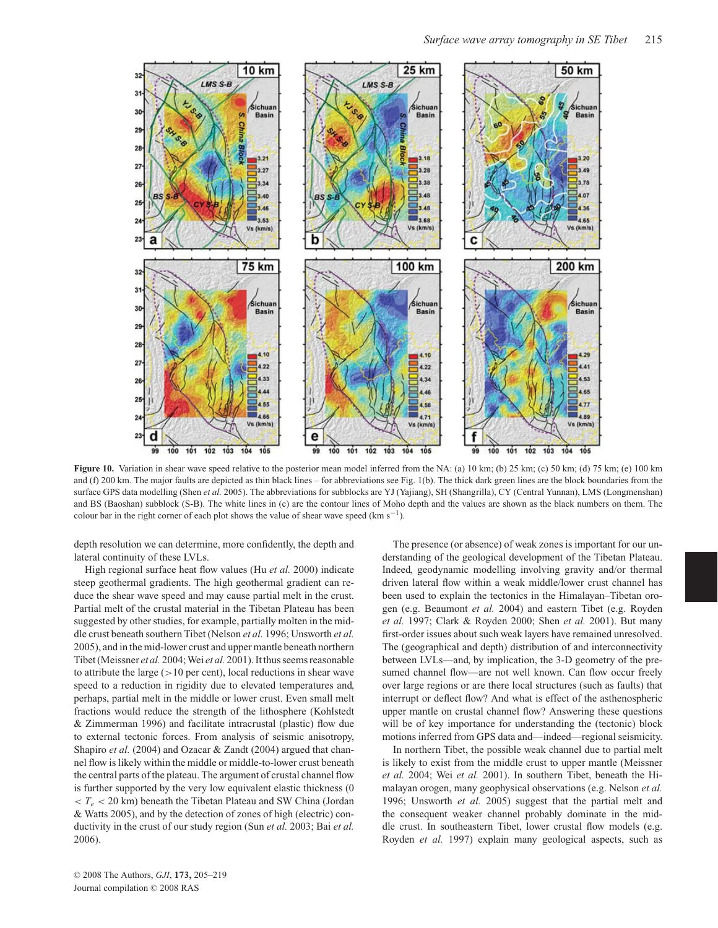

**Figure 10.** Variation in shear wave speed relative to the posterior mean model inferred from the NA: (a) 10 km; (b) 25 km; (c) 50 km; (d) 75 km; (e) 100 km and (f) 200 km. The major faults are depicted as thin black lines – for abbreviations see Fig. 1(b). The thick dark green lines are the block boundaries from the surface GPS data modelling (Shen *et al.* 2005). The abbreviations for subblocks are YJ (Yajiang), SH (Shangrilla), CY (Central Yunnan), LMS (Longmenshan) and BS (Baoshan) subblock (S-B). The white lines in (c) are the contour lines of Moho depth and the values are shown as the black numbers on them. The colour bar in the right corner of each plot shows the value of shear wave speed  $(km s^{-1})$ .

depth resolution we can determine, more confidently, the depth and lateral continuity of these LVLs.

High regional surface heat flow values (Hu *et al.* 2000) indicate steep geothermal gradients. The high geothermal gradient can reduce the shear wave speed and may cause partial melt in the crust. Partial melt of the crustal material in the Tibetan Plateau has been suggested by other studies, for example, partially molten in the middle crust beneath southern Tibet (Nelson *et al.* 1996; Unsworth *et al.* 2005), and in the mid-lower crust and upper mantle beneath northern Tibet (Meissner *et al.* 2004; Wei *et al.* 2001). It thus seems reasonable to attribute the large  $(>10$  per cent), local reductions in shear wave speed to a reduction in rigidity due to elevated temperatures and, perhaps, partial melt in the middle or lower crust. Even small melt fractions would reduce the strength of the lithosphere (Kohlstedt & Zimmerman 1996) and facilitate intracrustal (plastic) flow due to external tectonic forces. From analysis of seismic anisotropy, Shapiro *et al.* (2004) and Ozacar & Zandt (2004) argued that channel flow is likely within the middle or middle-to-lower crust beneath the central parts of the plateau. The argument of crustal channel flow is further supported by the very low equivalent elastic thickness (0  $\langle T_e \rangle$  < 20 km) beneath the Tibetan Plateau and SW China (Jordan & Watts 2005), and by the detection of zones of high (electric) conductivity in the crust of our study region (Sun *et al.* 2003; Bai *et al.* 2006).

The presence (or absence) of weak zones is important for our understanding of the geological development of the Tibetan Plateau. Indeed, geodynamic modelling involving gravity and/or thermal driven lateral flow within a weak middle/lower crust channel has been used to explain the tectonics in the Himalayan–Tibetan orogen (e.g. Beaumont *et al.* 2004) and eastern Tibet (e.g. Royden *et al.* 1997; Clark & Royden 2000; Shen *et al.* 2001). But many first-order issues about such weak layers have remained unresolved. The (geographical and depth) distribution of and interconnectivity between LVLs—and, by implication, the 3-D geometry of the presumed channel flow—are not well known. Can flow occur freely over large regions or are there local structures (such as faults) that interrupt or deflect flow? And what is effect of the asthenospheric upper mantle on crustal channel flow? Answering these questions will be of key importance for understanding the (tectonic) block motions inferred from GPS data and—indeed—regional seismicity.

In northern Tibet, the possible weak channel due to partial melt is likely to exist from the middle crust to upper mantle (Meissner *et al.* 2004; Wei *et al.* 2001). In southern Tibet, beneath the Himalayan orogen, many geophysical observations (e.g. Nelson *et al.* 1996; Unsworth *et al.* 2005) suggest that the partial melt and the consequent weaker channel probably dominate in the middle crust. In southeastern Tibet, lower crustal flow models (e.g. Royden *et al.* 1997) explain many geological aspects, such as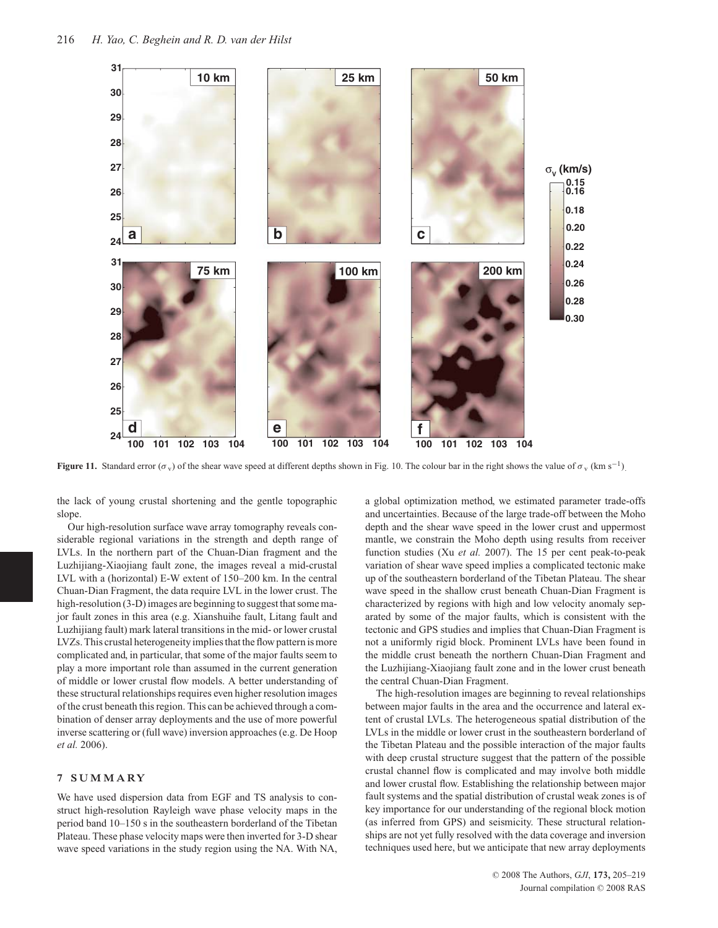

**Figure 11.** Standard error ( $\sigma_y$ ) of the shear wave speed at different depths shown in Fig. 10. The colour bar in the right shows the value of  $\sigma_y$  (km s<sup>-1</sup>).

the lack of young crustal shortening and the gentle topographic slope.

Our high-resolution surface wave array tomography reveals considerable regional variations in the strength and depth range of LVLs. In the northern part of the Chuan-Dian fragment and the Luzhijiang-Xiaojiang fault zone, the images reveal a mid-crustal LVL with a (horizontal) E-W extent of 150–200 km. In the central Chuan-Dian Fragment, the data require LVL in the lower crust. The high-resolution (3-D) images are beginning to suggest that some major fault zones in this area (e.g. Xianshuihe fault, Litang fault and Luzhijiang fault) mark lateral transitions in the mid- or lower crustal LVZs. This crustal heterogeneity implies that the flow pattern is more complicated and, in particular, that some of the major faults seem to play a more important role than assumed in the current generation of middle or lower crustal flow models. A better understanding of these structural relationships requires even higher resolution images of the crust beneath this region. This can be achieved through a combination of denser array deployments and the use of more powerful inverse scattering or (full wave) inversion approaches (e.g. De Hoop *et al.* 2006).

## **7 SUMMARY**

We have used dispersion data from EGF and TS analysis to construct high-resolution Rayleigh wave phase velocity maps in the period band 10–150 s in the southeastern borderland of the Tibetan Plateau. These phase velocity maps were then inverted for 3-D shear wave speed variations in the study region using the NA. With NA, a global optimization method, we estimated parameter trade-offs and uncertainties. Because of the large trade-off between the Moho depth and the shear wave speed in the lower crust and uppermost mantle, we constrain the Moho depth using results from receiver function studies (Xu *et al.* 2007). The 15 per cent peak-to-peak variation of shear wave speed implies a complicated tectonic make up of the southeastern borderland of the Tibetan Plateau. The shear wave speed in the shallow crust beneath Chuan-Dian Fragment is characterized by regions with high and low velocity anomaly separated by some of the major faults, which is consistent with the tectonic and GPS studies and implies that Chuan-Dian Fragment is not a uniformly rigid block. Prominent LVLs have been found in the middle crust beneath the northern Chuan-Dian Fragment and the Luzhijiang-Xiaojiang fault zone and in the lower crust beneath the central Chuan-Dian Fragment.

The high-resolution images are beginning to reveal relationships between major faults in the area and the occurrence and lateral extent of crustal LVLs. The heterogeneous spatial distribution of the LVLs in the middle or lower crust in the southeastern borderland of the Tibetan Plateau and the possible interaction of the major faults with deep crustal structure suggest that the pattern of the possible crustal channel flow is complicated and may involve both middle and lower crustal flow. Establishing the relationship between major fault systems and the spatial distribution of crustal weak zones is of key importance for our understanding of the regional block motion (as inferred from GPS) and seismicity. These structural relationships are not yet fully resolved with the data coverage and inversion techniques used here, but we anticipate that new array deployments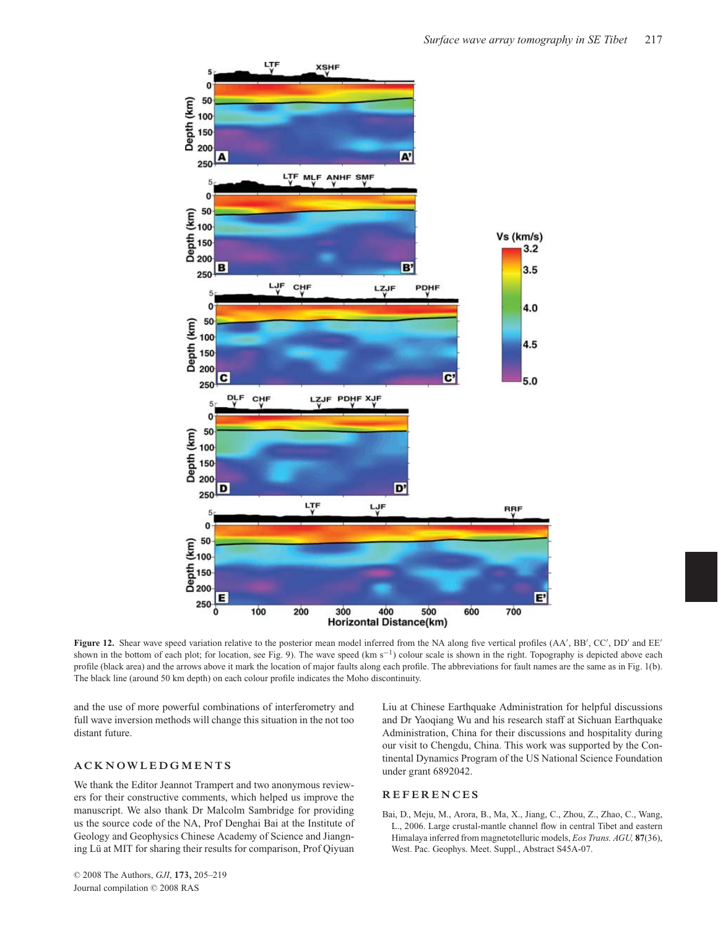

Figure 12. Shear wave speed variation relative to the posterior mean model inferred from the NA along five vertical profiles (AA', BB', CC', DD' and EE' shown in the bottom of each plot; for location, see Fig. 9). The wave speed (km s<sup>−1</sup>) colour scale is shown in the right. Topography is depicted above each profile (black area) and the arrows above it mark the location of major faults along each profile. The abbreviations for fault names are the same as in Fig. 1(b). The black line (around 50 km depth) on each colour profile indicates the Moho discontinuity.

and the use of more powerful combinations of interferometry and full wave inversion methods will change this situation in the not too distant future.

## **ACKNOWLEDGMENTS**

We thank the Editor Jeannot Trampert and two anonymous reviewers for their constructive comments, which helped us improve the manuscript. We also thank Dr Malcolm Sambridge for providing us the source code of the NA, Prof Denghai Bai at the Institute of Geology and Geophysics Chinese Academy of Science and Jiangning Lü at MIT for sharing their results for comparison, Prof Qiyuan

© 2008 The Authors, *GJI*, **173**, 205–219 Journal compilation © 2008 RAS

Liu at Chinese Earthquake Administration for helpful discussions and Dr Yaoqiang Wu and his research staff at Sichuan Earthquake Administration, China for their discussions and hospitality during our visit to Chengdu, China. This work was supported by the Continental Dynamics Program of the US National Science Foundation under grant 6892042.

#### **REFERENCES**

Bai, D., Meju, M., Arora, B., Ma, X., Jiang, C., Zhou, Z., Zhao, C., Wang, L., 2006. Large crustal-mantle channel flow in central Tibet and eastern Himalaya inferred from magnetotelluric models, *Eos Trans. AGU,* **87**(36), West. Pac. Geophys. Meet. Suppl., Abstract S45A-07.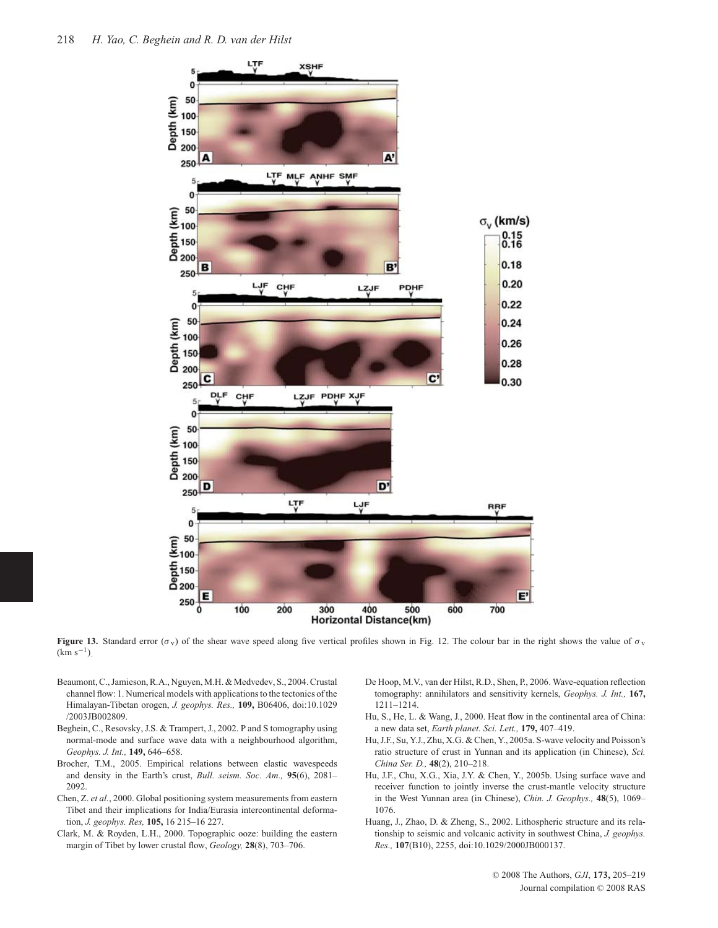

**Figure 13.** Standard error ( $\sigma$ <sub>v</sub>) of the shear wave speed along five vertical profiles shown in Fig. 12. The colour bar in the right shows the value of  $\sigma$ <sub>v</sub>  $(km s^{-1})$ .

- Beaumont, C., Jamieson, R.A., Nguyen, M.H. & Medvedev, S., 2004. Crustal channel flow: 1. Numerical models with applications to the tectonics of the Himalayan-Tibetan orogen, *J. geophys. Res.,* **109,** B06406, doi:10.1029 /2003JB002809.
- Beghein, C., Resovsky, J.S. & Trampert, J., 2002. P and S tomography using normal-mode and surface wave data with a neighbourhood algorithm, *Geophys. J. Int.,* **149,** 646–658.
- Brocher, T.M., 2005. Empirical relations between elastic wavespeeds and density in the Earth's crust, *Bull. seism. Soc. Am.,* **95**(6), 2081– 2092.
- Chen, Z. *et al.*, 2000. Global positioning system measurements from eastern Tibet and their implications for India/Eurasia intercontinental deformation, *J. geophys. Res,* **105,** 16 215–16 227.
- Clark, M. & Royden, L.H., 2000. Topographic ooze: building the eastern margin of Tibet by lower crustal flow, *Geology,* **28**(8), 703–706.
- De Hoop, M.V., van der Hilst, R.D., Shen, P., 2006. Wave-equation reflection tomography: annihilators and sensitivity kernels, *Geophys. J. Int.,* **167,** 1211–1214.
- Hu, S., He, L. & Wang, J., 2000. Heat flow in the continental area of China: a new data set, *Earth planet. Sci. Lett.,* **179,** 407–419.
- Hu, J.F., Su, Y.J., Zhu, X.G. & Chen, Y., 2005a. S-wave velocity and Poisson's ratio structure of crust in Yunnan and its application (in Chinese), *Sci. China Ser. D.,* **48**(2), 210–218.
- Hu, J.F., Chu, X.G., Xia, J.Y. & Chen, Y., 2005b. Using surface wave and receiver function to jointly inverse the crust-mantle velocity structure in the West Yunnan area (in Chinese), *Chin. J. Geophys.,* **48**(5), 1069– 1076.
- Huang, J., Zhao, D. & Zheng, S., 2002. Lithospheric structure and its relationship to seismic and volcanic activity in southwest China, *J. geophys. Res.,* **107**(B10), 2255, doi:10.1029/2000JB000137.